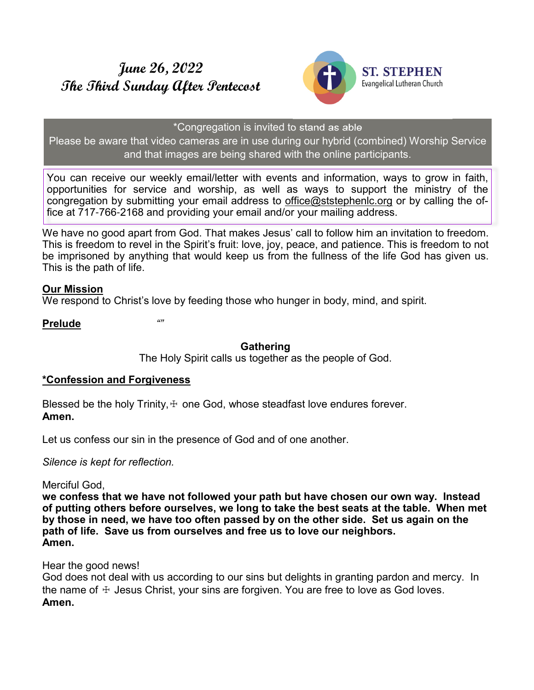# **June 26, 2022 The Third Sunday After Pentecost**



#### \*Congregation is invited to stand as able

Please be aware that video cameras are in use during our hybrid (combined) Worship Service and that images are being shared with the online participants.

You can receive our weekly email/letter with events and information, ways to grow in faith, opportunities for service and worship, as well as ways to support the ministry of the congregation by submitting your email address to office@ststephenlc.org or by calling the office at 717-766-2168 and providing your email and/or your mailing address.

We have no good apart from God. That makes Jesus' call to follow him an invitation to freedom. This is freedom to revel in the Spirit's fruit: love, joy, peace, and patience. This is freedom to not be imprisoned by anything that would keep us from the fullness of the life God has given us. This is the path of life.

### **Our Mission**

We respond to Christ's love by feeding those who hunger in body, mind, and spirit.

**Prelude** *""*

# **Gathering**

The Holy Spirit calls us together as the people of God.

# **\*Confession and Forgiveness**

Blessed be the holy Trinity,  $+$  one God, whose steadfast love endures forever. **Amen.**

Let us confess our sin in the presence of God and of one another.

*Silence is kept for reflection.*

Merciful God,

**we confess that we have not followed your path but have chosen our own way. Instead of putting others before ourselves, we long to take the best seats at the table. When met by those in need, we have too often passed by on the other side. Set us again on the path of life. Save us from ourselves and free us to love our neighbors. Amen.**

Hear the good news!

God does not deal with us according to our sins but delights in granting pardon and mercy. In the name of  $\pm$  Jesus Christ, your sins are forgiven. You are free to love as God loves. **Amen.**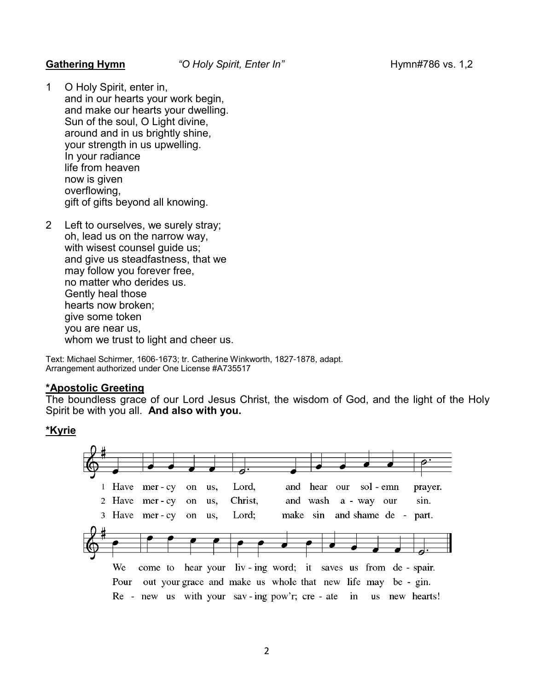1 O Holy Spirit, enter in, and in our hearts your work begin, and make our hearts your dwelling. Sun of the soul, O Light divine, around and in us brightly shine, your strength in us upwelling. In your radiance life from heaven now is given overflowing, gift of gifts beyond all knowing.

2 Left to ourselves, we surely stray; oh, lead us on the narrow way, with wisest counsel guide us; and give us steadfastness, that we may follow you forever free, no matter who derides us. Gently heal those hearts now broken; give some token you are near us, whom we trust to light and cheer us.

Text: Michael Schirmer, 1606-1673; tr. Catherine Winkworth, 1827-1878, adapt. Arrangement authorized under One License #A735517

#### **\*Apostolic Greeting**

The boundless grace of our Lord Jesus Christ, the wisdom of God, and the light of the Holy Spirit be with you all. **And also with you.**

### **\*Kyrie**

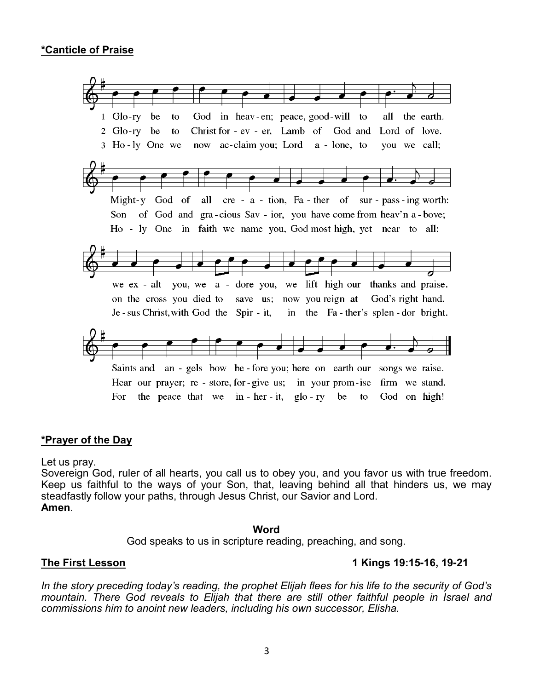

#### **\*Prayer of the Day**

Let us pray.

Sovereign God, ruler of all hearts, you call us to obey you, and you favor us with true freedom. Keep us faithful to the ways of your Son, that, leaving behind all that hinders us, we may steadfastly follow your paths, through Jesus Christ, our Savior and Lord. **Amen**.

#### **Word**

God speaks to us in scripture reading, preaching, and song.

### **The First Lesson 1 Kings 19:15-16, 19-21**

*In the story preceding today's reading, the prophet Elijah flees for his life to the security of God's mountain. There God reveals to Elijah that there are still other faithful people in Israel and commissions him to anoint new leaders, including his own successor, Elisha.*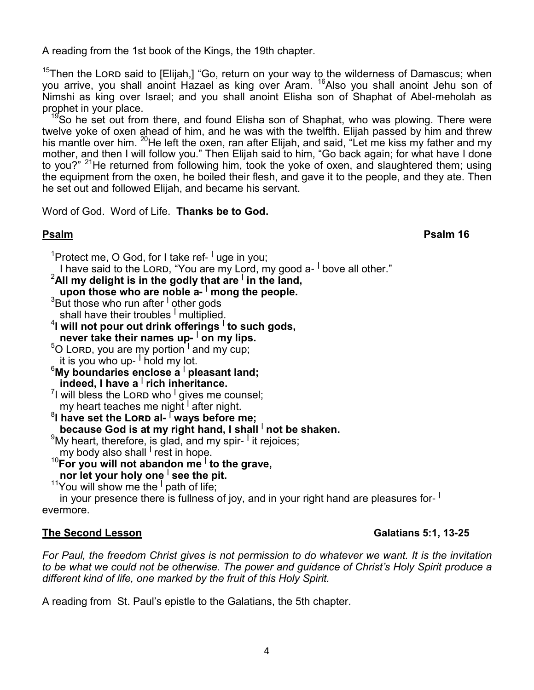A reading from the 1st book of the Kings, the 19th chapter.

<sup>15</sup>Then the Lorp said to [Elijah,] "Go, return on your way to the wilderness of Damascus; when you arrive, you shall anoint Hazael as king over Aram. <sup>16</sup>Also you shall anoint Jehu son of Nimshi as king over Israel; and you shall anoint Elisha son of Shaphat of Abel-meholah as prophet in your place.

<sup>19</sup>So he set out from there, and found Elisha son of Shaphat, who was plowing. There were twelve yoke of oxen ahead of him, and he was with the twelfth. Elijah passed by him and threw his mantle over him. <sup>20</sup>He left the oxen, ran after Elijah, and said, "Let me kiss my father and my mother, and then I will follow you." Then Elijah said to him, "Go back again; for what have I done to you?" <sup>21</sup>He returned from following him, took the yoke of oxen, and slaughtered them; using the equipment from the oxen, he boiled their flesh, and gave it to the people, and they ate. Then he set out and followed Elijah, and became his servant.

Word of God. Word of Life. **Thanks be to God.**

**Psalm Psalm 16** 

<sup>1</sup>Protect me, O God, for I take ref- <sup>I</sup> uge in you;

I have said to the LORD, "You are my Lord, my good a- <sup>I</sup> bove all other."

- <sup>2</sup>**All my delight is in the godly that are <sup>|</sup> in the land, upon those who are noble a- | mong the people.**
	- $^3$ But those who run after <sup>I</sup> other gods
- shall have their troubles <sup>I</sup> multiplied.
- 4 **I will not pour out drink offerings <sup>|</sup> to such gods, never take their names up- | on my lips.**
- $^5$ O Lorɒ, you are my portion <sup>I</sup> and my cup; it is you who up- $\frac{1}{2}$  hold my lot.
- <sup>6</sup>**My boundaries enclose a <sup>|</sup> pleasant land; indeed, I have a <sup>|</sup> rich inheritance.**
- <sup>7</sup>I will bless the Lorɒ who <sup>I</sup> gives me counsel; my heart teaches me night <sup>I</sup> after night.
- $^8$ I have set the Lorɒ al- <sup>| ˈ</sup>ways befor̃e me; **because God is at my right hand, I shall I not be shaken.**

 $^9$ My heart, therefore, is glad, and my spir- <sup>I</sup> it rejoices;

- my body also shall <sup>I</sup> rest in hope.
- <sup>10</sup>**For you will not abandon me <sup>|</sup> to the grave, nor let your holy one** <sup>|</sup> see the pit.
	- <sup>11</sup>You will show me the <sup>I</sup> path of life;

 in your presence there is fullness of joy, and in your right hand are pleasures for- **|** evermore.

# The Second Lesson **Galatians 5:1, 13-25**

*For Paul, the freedom Christ gives is not permission to do whatever we want. It is the invitation to be what we could not be otherwise. The power and guidance of Christ's Holy Spirit produce a different kind of life, one marked by the fruit of this Holy Spirit.*

A reading from St. Paul's epistle to the Galatians, the 5th chapter.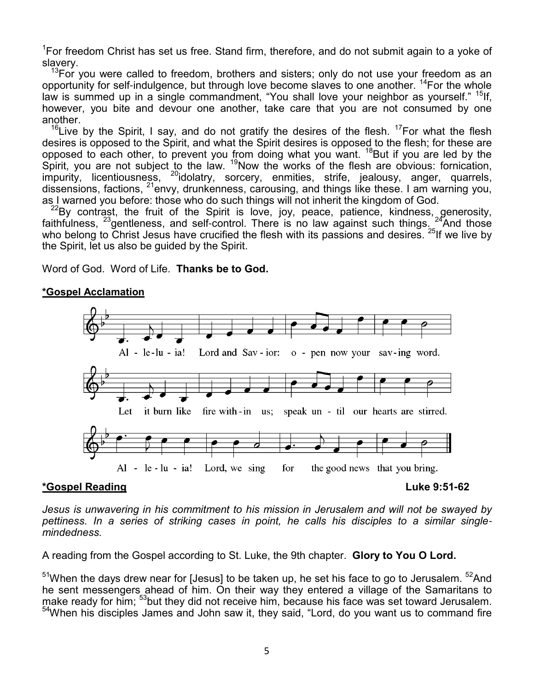<sup>1</sup>For freedom Christ has set us free. Stand firm, therefore, and do not submit again to a yoke of slavery.

 $13$ For you were called to freedom, brothers and sisters; only do not use your freedom as an opportunity for self-indulgence, but through love become slaves to one another. <sup>14</sup>For the whole law is summed up in a single commandment, "You shall love your neighbor as yourself." <sup>15</sup>lf, however, you bite and devour one another, take care that you are not consumed by one another.

<sup>16</sup> Live by the Spirit, I say, and do not gratify the desires of the flesh.<sup>17</sup> For what the flesh desires is opposed to the Spirit, and what the Spirit desires is opposed to the flesh; for these are opposed to each other, to prevent you from doing what you want. <sup>18</sup>But if you are led by the Spirit, you are not subject to the law. <sup>19</sup>Now the works of the flesh are obvious: fornication, impurity, licentiousness, <sup>20</sup>idolatry, sorcery, enmities, strife, jealousy, anger, quarrels, dissensions, factions, <sup>21</sup>envy, drunkenness, carousing, and things like these. I am warning you, as I warned you before: those who do such things will not inherit the kingdom of God.

 $^{22}$ By contrast, the fruit of the Spirit is love, joy, peace, patience, kindness, generosity, faithfulness,  $^{23}$ gentleness, and self-control. There is no law against such things.  $^{24}$ And those who belong to Christ Jesus have crucified the flesh with its passions and desires.  $^{25}$ If we live by the Spirit, let us also be guided by the Spirit.

Word of God. Word of Life. **Thanks be to God.**

### **\*Gospel Acclamation**



#### **\*Gospel Reading Luke 9:51-62**

*Jesus is unwavering in his commitment to his mission in Jerusalem and will not be swayed by pettiness. In a series of striking cases in point, he calls his disciples to a similar singlemindedness.*

A reading from the Gospel according to St. Luke, the 9th chapter. **Glory to You O Lord.**

 $51$ When the days drew near for [Jesus] to be taken up, he set his face to go to Jerusalem.  $52$ And he sent messengers ahead of him. On their way they entered a village of the Samaritans to make ready for him; <sup>53</sup>but they did not receive him, because his face was set toward Jerusalem. <sup>54</sup>When his disciples James and John saw it, they said, "Lord, do you want us to command fire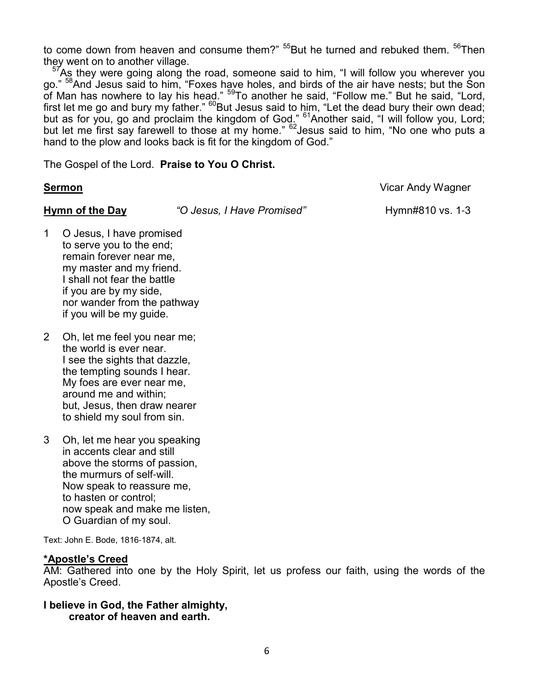to come down from heaven and consume them?"  $55$ But he turned and rebuked them.  $56$ Then they went on to another village.

 $7$ As they were going along the road, someone said to him, "I will follow you wherever you go." <sup>58</sup>And Jesus said to him, "Foxes have holes, and birds of the air have nests; but the Son of Man has nowhere to lay his head." <sup>59</sup>To another he said, "Follow me." But he said, "Lord, first let me go and bury my father." <sup>60</sup>But Jesus said to him, "Let the dead bury their own dead; but as for you, go and proclaim the kingdom of God." <sup>61</sup>Another said, "I will follow you, Lord; but let me first say farewell to those at my home." <sup>62</sup>Jesus said to him, "No one who puts a hand to the plow and looks back is fit for the kingdom of God."

The Gospel of the Lord. **Praise to You O Christ.**

**Sermon** Vicar Andy Wagner

**Hymn of the Day** *"O Jesus, I Have Promised"* Hymn#810 vs. 1-3

- 1 O Jesus, I have promised to serve you to the end; remain forever near me, my master and my friend. I shall not fear the battle if you are by my side, nor wander from the pathway if you will be my guide.
- 2 Oh, let me feel you near me; the world is ever near. I see the sights that dazzle, the tempting sounds I hear. My foes are ever near me, around me and within; but, Jesus, then draw nearer to shield my soul from sin.
- 3 Oh, let me hear you speaking in accents clear and still above the storms of passion, the murmurs of self-will. Now speak to reassure me, to hasten or control; now speak and make me listen, O Guardian of my soul.

Text: John E. Bode, 1816-1874, alt.

### **\*Apostle's Creed**

AM: Gathered into one by the Holy Spirit, let us profess our faith, using the words of the Apostle's Creed.

#### **I believe in God, the Father almighty, creator of heaven and earth.**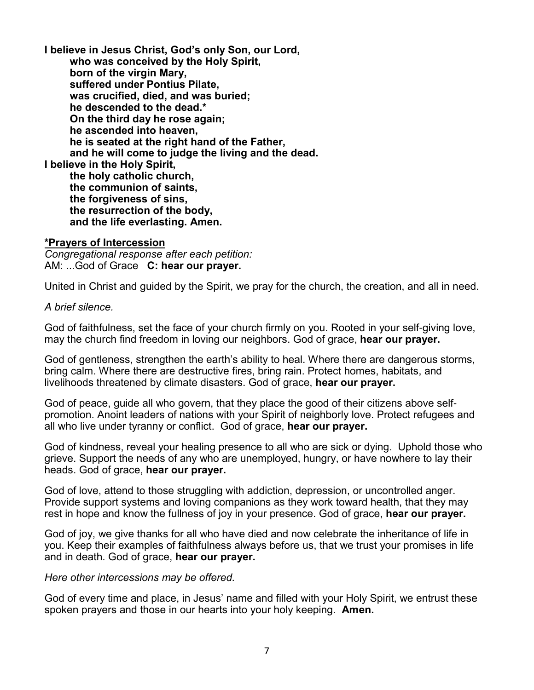**I believe in Jesus Christ, God's only Son, our Lord, who was conceived by the Holy Spirit, born of the virgin Mary, suffered under Pontius Pilate, was crucified, died, and was buried; he descended to the dead.\* On the third day he rose again; he ascended into heaven, he is seated at the right hand of the Father, and he will come to judge the living and the dead. I believe in the Holy Spirit, the holy catholic church, the communion of saints, the forgiveness of sins, the resurrection of the body, and the life everlasting. Amen.**

#### **\*Prayers of Intercession**

*Congregational response after each petition:* AM: ...God of Grace **C: hear our prayer.**

United in Christ and guided by the Spirit, we pray for the church, the creation, and all in need.

#### *A brief silence.*

God of faithfulness, set the face of your church firmly on you. Rooted in your self-giving love, may the church find freedom in loving our neighbors. God of grace, **hear our prayer.**

God of gentleness, strengthen the earth's ability to heal. Where there are dangerous storms, bring calm. Where there are destructive fires, bring rain. Protect homes, habitats, and livelihoods threatened by climate disasters. God of grace, **hear our prayer.**

God of peace, guide all who govern, that they place the good of their citizens above selfpromotion. Anoint leaders of nations with your Spirit of neighborly love. Protect refugees and all who live under tyranny or conflict. God of grace, **hear our prayer.**

God of kindness, reveal your healing presence to all who are sick or dying. Uphold those who grieve. Support the needs of any who are unemployed, hungry, or have nowhere to lay their heads. God of grace, **hear our prayer.**

God of love, attend to those struggling with addiction, depression, or uncontrolled anger. Provide support systems and loving companions as they work toward health, that they may rest in hope and know the fullness of joy in your presence. God of grace, **hear our prayer.**

God of joy, we give thanks for all who have died and now celebrate the inheritance of life in you. Keep their examples of faithfulness always before us, that we trust your promises in life and in death. God of grace, **hear our prayer.**

#### *Here other intercessions may be offered.*

God of every time and place, in Jesus' name and filled with your Holy Spirit, we entrust these spoken prayers and those in our hearts into your holy keeping. **Amen.**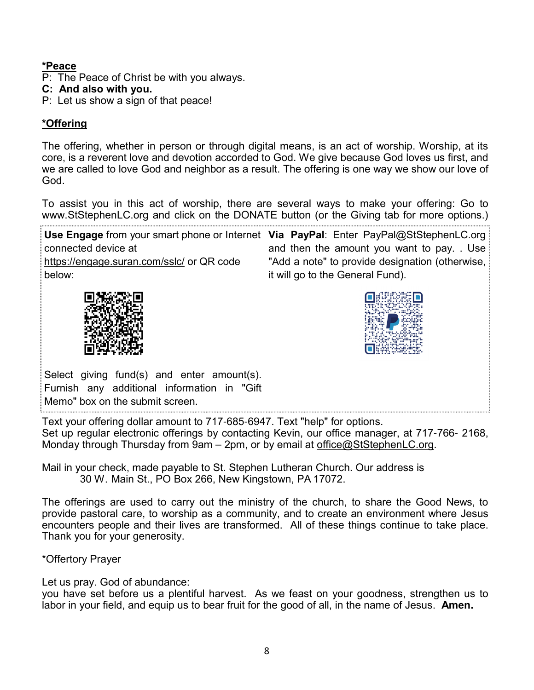# **\*Peace**

- P: The Peace of Christ be with you always.
- **C: And also with you.**
- P: Let us show a sign of that peace!

# **\*Offering**

The offering, whether in person or through digital means, is an act of worship. Worship, at its core, is a reverent love and devotion accorded to God. We give because God loves us first, and we are called to love God and neighbor as a result. The offering is one way we show our love of God.

To assist you in this act of worship, there are several ways to make your offering: Go to www.StStephenLC.org and click on the DONATE button (or the Giving tab for more options.)

Use Engage from your smart phone or Internet Via PayPal: Enter PayPal@StStephenLC.org connected device at https://engage.suran.com/sslc/ or QR code below: and then the amount you want to pay. . Use "Add a note" to provide designation (otherwise, it will go to the General Fund).





Select giving fund(s) and enter amount(s). Furnish any additional information in "Gift Memo" box on the submit screen.

Text your offering dollar amount to 717-685-6947. Text "help" for options. Set up regular electronic offerings by contacting Kevin, our office manager, at 717-766- 2168, Monday through Thursday from 9am – 2pm, or by email at office@StStephenLC.org.

Mail in your check, made payable to St. Stephen Lutheran Church. Our address is 30 W. Main St., PO Box 266, New Kingstown, PA 17072.

The offerings are used to carry out the ministry of the church, to share the Good News, to provide pastoral care, to worship as a community, and to create an environment where Jesus encounters people and their lives are transformed. All of these things continue to take place. Thank you for your generosity.

\*Offertory Prayer

Let us pray. God of abundance:

you have set before us a plentiful harvest. As we feast on your goodness, strengthen us to labor in your field, and equip us to bear fruit for the good of all, in the name of Jesus. **Amen.**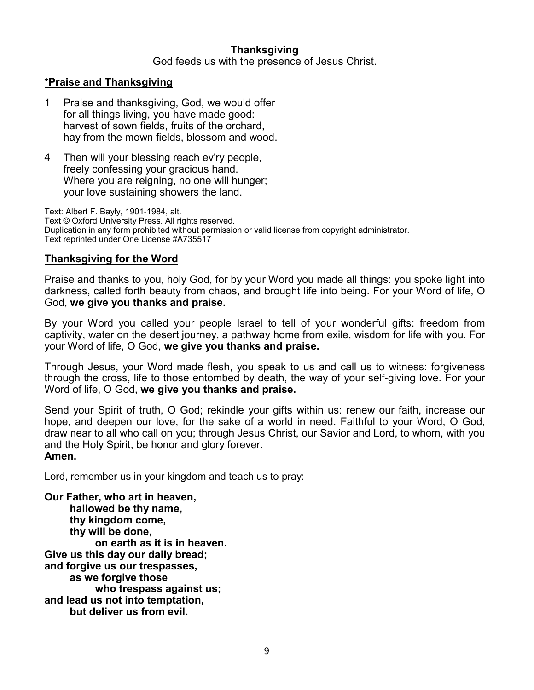# **Thanksgiving**

God feeds us with the presence of Jesus Christ.

#### **\*Praise and Thanksgiving**

- 1 Praise and thanksgiving, God, we would offer for all things living, you have made good: harvest of sown fields, fruits of the orchard, hay from the mown fields, blossom and wood.
- 4 Then will your blessing reach ev'ry people, freely confessing your gracious hand. Where you are reigning, no one will hunger; your love sustaining showers the land.

Text: Albert F. Bayly, 1901-1984, alt. Text © Oxford University Press. All rights reserved. Duplication in any form prohibited without permission or valid license from copyright administrator. Text reprinted under One License #A735517

#### **Thanksgiving for the Word**

Praise and thanks to you, holy God, for by your Word you made all things: you spoke light into darkness, called forth beauty from chaos, and brought life into being. For your Word of life, O God, **we give you thanks and praise.**

By your Word you called your people Israel to tell of your wonderful gifts: freedom from captivity, water on the desert journey, a pathway home from exile, wisdom for life with you. For your Word of life, O God, **we give you thanks and praise.**

Through Jesus, your Word made flesh, you speak to us and call us to witness: forgiveness through the cross, life to those entombed by death, the way of your self-giving love. For your Word of life, O God, **we give you thanks and praise.**

Send your Spirit of truth, O God; rekindle your gifts within us: renew our faith, increase our hope, and deepen our love, for the sake of a world in need. Faithful to your Word, O God, draw near to all who call on you; through Jesus Christ, our Savior and Lord, to whom, with you and the Holy Spirit, be honor and glory forever. **Amen.**

Lord, remember us in your kingdom and teach us to pray:

**Our Father, who art in heaven, hallowed be thy name, thy kingdom come, thy will be done, on earth as it is in heaven. Give us this day our daily bread; and forgive us our trespasses, as we forgive those who trespass against us; and lead us not into temptation, but deliver us from evil.**